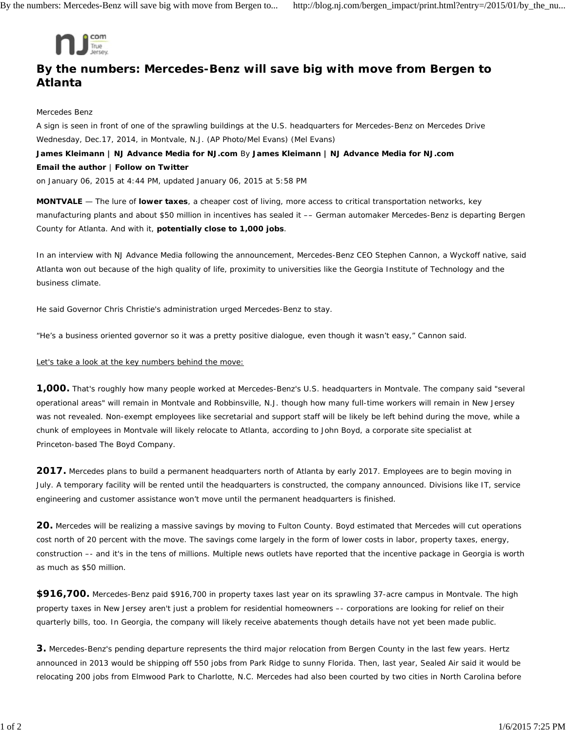

## **By the numbers: Mercedes-Benz will save big with move from Bergen to Atlanta**

## Mercedes Benz

A sign is seen in front of one of the sprawling buildings at the U.S. headquarters for Mercedes-Benz on Mercedes Drive Wednesday, Dec.17, 2014, in Montvale, N.J. (AP Photo/Mel Evans) *(Mel Evans)* **James Kleimann | NJ Advance Media for NJ.com** By **James Kleimann | NJ Advance Media for NJ.com Email the author** | **Follow on Twitter** on January 06, 2015 at 4:44 PM, updated January 06, 2015 at 5:58 PM

**MONTVALE** — The lure of **lower taxes**, a cheaper cost of living, more access to critical transportation networks, key manufacturing plants and about \$50 million in incentives has sealed it –– German automaker Mercedes-Benz is departing Bergen County for Atlanta. And with it, **potentially close to 1,000 jobs**.

In an interview with NJ Advance Media following the announcement, Mercedes-Benz CEO Stephen Cannon, a Wyckoff native, said Atlanta won out because of the high quality of life, proximity to universities like the Georgia Institute of Technology and the business climate.

He said Governor Chris Christie's administration urged Mercedes-Benz to stay.

"He's a business oriented governor so it was a pretty positive dialogue, even though it wasn't easy," Cannon said.

## Let's take a look at the key numbers behind the move:

**1,000.** That's roughly how many people worked at Mercedes-Benz's U.S. headquarters in Montvale. The company said "several operational areas" will remain in Montvale and Robbinsville, N.J. though how many full-time workers will remain in New Jersey was not revealed. Non-exempt employees like secretarial and support staff will be likely be left behind during the move, while a chunk of employees in Montvale will likely relocate to Atlanta, according to John Boyd, a corporate site specialist at Princeton-based The Boyd Company.

**2017.** Mercedes plans to build a permanent headquarters north of Atlanta by early 2017. Employees are to begin moving in July. A temporary facility will be rented until the headquarters is constructed, the company announced. Divisions like IT, service engineering and customer assistance won't move until the permanent headquarters is finished.

**20.** Mercedes will be realizing a massive savings by moving to Fulton County. Boyd estimated that Mercedes will cut operations cost north of 20 percent with the move. The savings come largely in the form of lower costs in labor, property taxes, energy, construction –- and it's in the tens of millions. Multiple news outlets have reported that the incentive package in Georgia is worth as much as \$50 million.

**\$916,700.** Mercedes-Benz paid \$916,700 in property taxes last year on its sprawling 37-acre campus in Montvale. The high property taxes in New Jersey aren't just a problem for residential homeowners –- corporations are looking for relief on their quarterly bills, too. In Georgia, the company will likely receive abatements though details have not yet been made public.

**3.** Mercedes-Benz's pending departure represents the third major relocation from Bergen County in the last few years. Hertz announced in 2013 would be shipping off 550 jobs from Park Ridge to sunny Florida. Then, last year, Sealed Air said it would be relocating 200 jobs from Elmwood Park to Charlotte, N.C. Mercedes had also been courted by two cities in North Carolina before